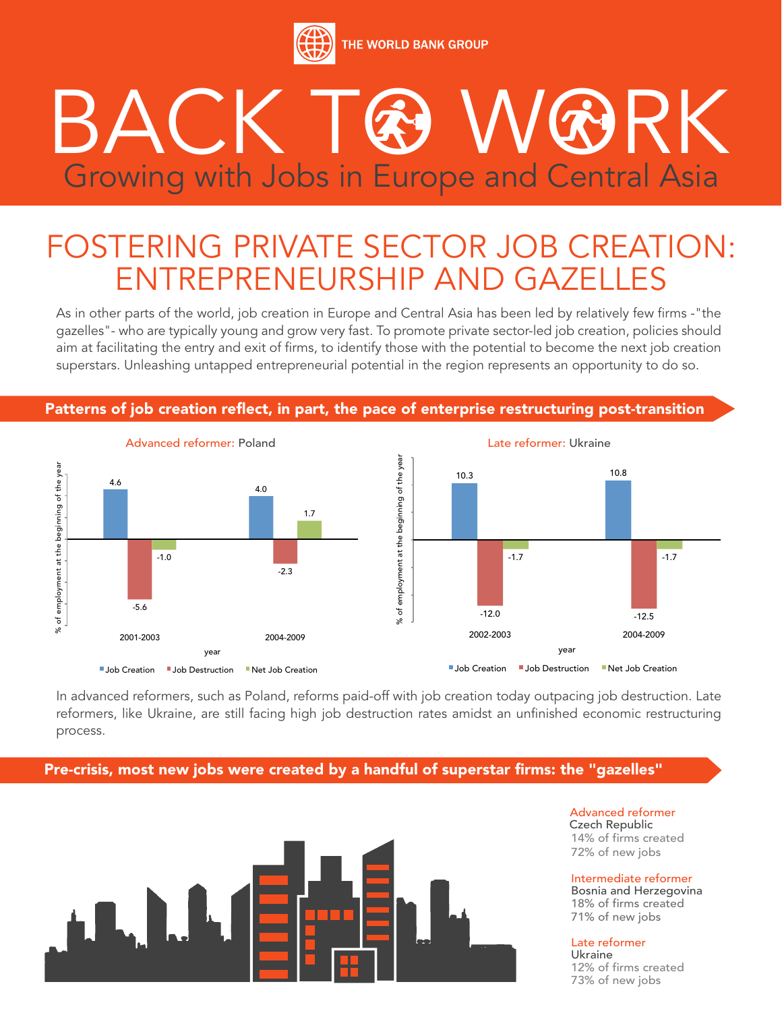

## BACK TO WORK Growing with Jobs in Europe and Central Asia

## FOSTERING PRIVATE SECTOR JOB CREATION: ENTREPRENEURSHIP AND GAZELLES

As in other parts of the world, job creation in Europe and Central Asia has been led by relatively few firms -"the gazelles"- who are typically young and grow very fast. To promote private sector-led job creation, policies should aim at facilitating the entry and exit of firms, to identify those with the potential to become the next job creation superstars. Unleashing untapped entrepreneurial potential in the region represents an opportunity to do so.



Patterns of job creation reflect, in part, the pace of enterprise restructuring post-transition

In advanced reformers, such as Poland, reforms paid-off with job creation today outpacing job destruction. Late reformers, like Ukraine, are still facing high job destruction rates amidst an unfinished economic restructuring process.

Pre-crisis, most new jobs were created by a handful of superstar firms: the "gazelles"



Advanced reformer Czech Republic 14% of firms created 72% of new jobs

Intermediate reformer Bosnia and Herzegovina 18% of firms created 71% of new jobs

Late reformer

Ukraine 12% of firms created 73% of new jobs